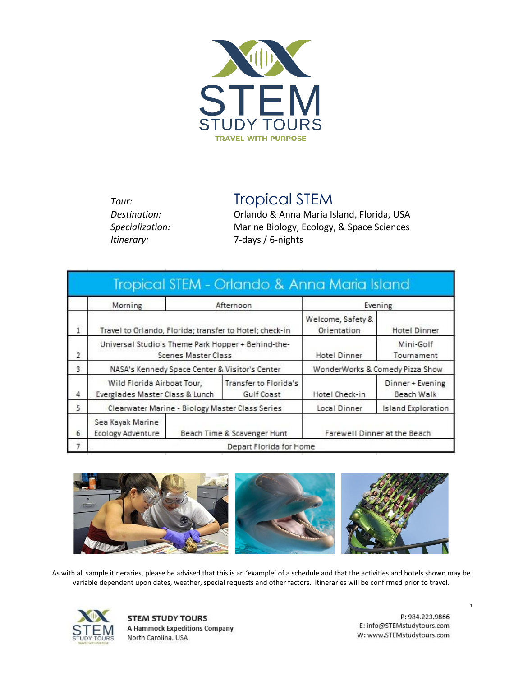

**Tour:** Tropical STEM

*Destination:* Orlando & Anna Maria Island, Florida, USA *Specialization:* Marine Biology, Ecology, & Space Sciences *Itinerary:* 7-days / 6-nights

|   |                                                                           |           | Tropical STEM - Orlando & Anna Maria Island |                                         |                                |
|---|---------------------------------------------------------------------------|-----------|---------------------------------------------|-----------------------------------------|--------------------------------|
|   | Morning                                                                   | Afternoon |                                             | Evening                                 |                                |
|   | Travel to Orlando, Florida; transfer to Hotel; check-in                   |           |                                             | Welcome, Safety &<br><b>Orientation</b> | Hotel Dinner                   |
| 2 | Universal Studio's Theme Park Hopper + Behind-the-<br>Scenes Master Class |           |                                             | Hotel Dinner                            | Mini-Golf<br>Tournament        |
| 3 | NASA's Kennedy Space Center & Visitor's Center                            |           |                                             | WonderWorks & Comedy Pizza Show         |                                |
| 4 | Wild Florida Airboat Tour,<br>Everglades Master Class & Lunch             |           | Transfer to Florida's<br>Gulf Coast         | Hotel Check-in                          | Dinner + Evening<br>Beach Walk |
| 5 | Clearwater Marine - Biology Master Class Series                           |           |                                             | Local Dinner                            | <b>Island Exploration</b>      |
| 6 | Sea Kayak Marine<br><b>Ecology Adventure</b>                              |           | Beach Time & Scavenger Hunt                 |                                         | Farewell Dinner at the Beach   |
| 7 | Depart Florida for Home                                                   |           |                                             |                                         |                                |



As with all sample itineraries, please be advised that this is an 'example' of a schedule and that the activities and hotels shown may be variable dependent upon dates, weather, special requests and other factors. Itineraries will be confirmed prior to travel.



**STEM STUDY TOURS A Hammock Expeditions Company** North Carolina, USA

P: 984.223.9866 E: info@STEMstudytours.com W: www.STEMstudytours.com 1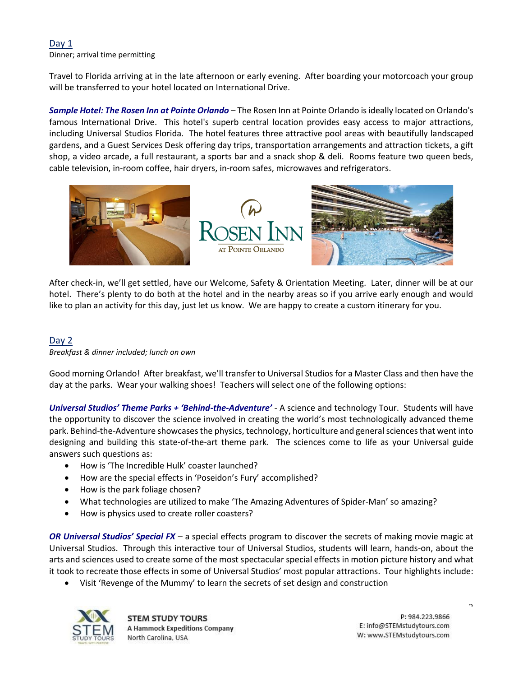# Day 1

Dinner; arrival time permitting

Travel to Florida arriving at in the late afternoon or early evening. After boarding your motorcoach your group will be transferred to your hotel located on International Drive.

*Sample Hotel: The Rosen Inn at Pointe Orlando* – The Rosen Inn at Pointe Orlando is ideally located on Orlando's famous International Drive. This hotel's superb central location provides easy access to major attractions, including Universal Studios Florida. The hotel features three attractive pool areas with beautifully landscaped gardens, and a Guest Services Desk offering day trips, transportation arrangements and attraction tickets, a gift shop, a video arcade, a full restaurant, a sports bar and a snack shop & deli. Rooms feature two queen beds, cable television, in-room coffee, hair dryers, in-room safes, microwaves and refrigerators.



After check-in, we'll get settled, have our Welcome, Safety & Orientation Meeting. Later, dinner will be at our hotel. There's plenty to do both at the hotel and in the nearby areas so if you arrive early enough and would like to plan an activity for this day, just let us know. We are happy to create a custom itinerary for you.

# Day 2

#### *Breakfast & dinner included; lunch on own*

Good morning Orlando! After breakfast, we'll transfer to Universal Studios for a Master Class and then have the day at the parks. Wear your walking shoes! Teachers will select one of the following options:

*Universal Studios' Theme Parks + 'Behind-the-Adventure'* - A science and technology Tour. Students will have the opportunity to discover the science involved in creating the world's most technologically advanced theme park. Behind-the-Adventure showcases the physics, technology, horticulture and general sciences that went into designing and building this state-of-the-art theme park. The sciences come to life as your Universal guide answers such questions as:

- How is 'The Incredible Hulk' coaster launched?
- How are the special effects in 'Poseidon's Fury' accomplished?
- How is the park foliage chosen?
- What technologies are utilized to make 'The Amazing Adventures of Spider-Man' so amazing?
- How is physics used to create roller coasters?

*OR Universal Studios' Special FX* – a special effects program to discover the secrets of making movie magic at Universal Studios. Through this interactive tour of Universal Studios, students will learn, hands-on, about the arts and sciences used to create some of the most spectacular special effects in motion picture history and what it took to recreate those effects in some of Universal Studios' most popular attractions. Tour highlights include:

• Visit 'Revenge of the Mummy' to learn the secrets of set design and construction



**STEM STUDY TOURS A Hammock Expeditions Company** North Carolina, USA

P: 984.223.9866 E: info@STEMstudytours.com W: www.STEMstudytours.com  $\Delta$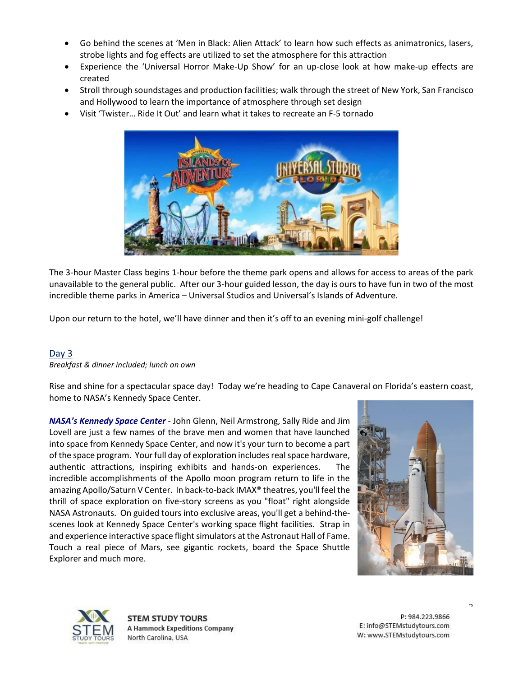- Go behind the scenes at 'Men in Black: Alien Attack' to learn how such effects as animatronics, lasers, strobe lights and fog effects are utilized to set the atmosphere for this attraction
- Experience the 'Universal Horror Make-Up Show' for an up-close look at how make-up effects are created
- Stroll through soundstages and production facilities; walk through the street of New York, San Francisco and Hollywood to learn the importance of atmosphere through set design
- Visit 'Twister… Ride It Out' and learn what it takes to recreate an F-5 tornado



The 3-hour Master Class begins 1-hour before the theme park opens and allows for access to areas of the park unavailable to the general public. After our 3-hour guided lesson, the day is ours to have fun in two of the most incredible theme parks in America – Universal Studios and Universal's Islands of Adventure.

Upon our return to the hotel, we'll have dinner and then it's off to an evening mini-golf challenge!

# Day 3

*Breakfast & dinner included; lunch on own*

Rise and shine for a spectacular space day! Today we're heading to Cape Canaveral on Florida's eastern coast, home to NASA's Kennedy Space Center.

*NASA's Kennedy Space Center* - John Glenn, Neil Armstrong, Sally Ride and Jim Lovell are just a few names of the brave men and women that have launched into space from Kennedy Space Center, and now it's your turn to become a part of the space program. Your full day of exploration includes real space hardware, authentic attractions, inspiring exhibits and hands-on experiences. The incredible accomplishments of the Apollo moon program return to life in the amazing Apollo/Saturn V Center. In back-to-back IMAX® theatres, you'll feel the thrill of space exploration on five-story screens as you "float" right alongside NASA Astronauts. On guided tours into exclusive areas, you'll get a behind-thescenes look at Kennedy Space Center's working space flight facilities. Strap in and experience interactive space flight simulators at the Astronaut Hall of Fame. Touch a real piece of Mars, see gigantic rockets, board the Space Shuttle Explorer and much more.





**STEM STUDY TOURS A Hammock Expeditions Company** North Carolina, USA

P: 984.223.9866 E: info@STEMstudytours.com W: www.STEMstudytours.com  $\overline{\phantom{a}}$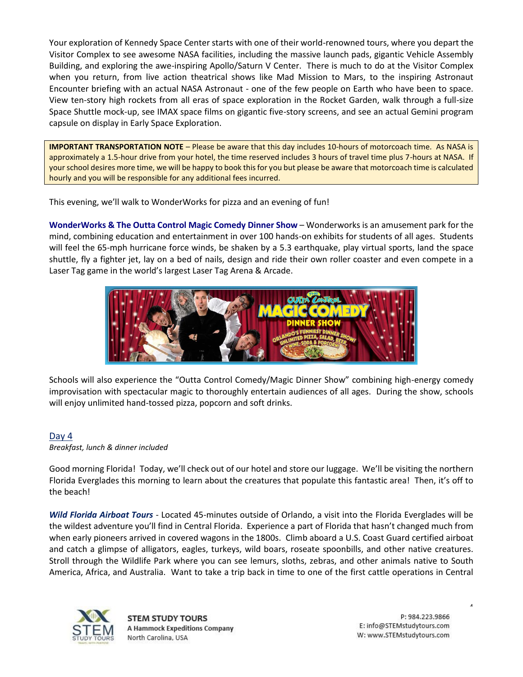Your exploration of Kennedy Space Center starts with one of their world-renowned tours, where you depart the Visitor Complex to see awesome NASA facilities, including the massive launch pads, gigantic Vehicle Assembly Building, and exploring the awe-inspiring Apollo/Saturn V Center. There is much to do at the Visitor Complex when you return, from live action theatrical shows like Mad Mission to Mars, to the inspiring Astronaut Encounter briefing with an actual NASA Astronaut - one of the few people on Earth who have been to space. View ten-story high rockets from all eras of space exploration in the Rocket Garden, walk through a full-size Space Shuttle mock-up, see IMAX space films on gigantic five-story screens, and see an actual Gemini program capsule on display in Early Space Exploration.

**IMPORTANT TRANSPORTATION NOTE** – Please be aware that this day includes 10-hours of motorcoach time. As NASA is approximately a 1.5-hour drive from your hotel, the time reserved includes 3 hours of travel time plus 7-hours at NASA. If your school desires more time, we will be happy to book this for you but please be aware that motorcoach time is calculated hourly and you will be responsible for any additional fees incurred.

This evening, we'll walk to WonderWorks for pizza and an evening of fun!

**WonderWorks & The Outta Control Magic Comedy Dinner Show** – Wonderworks is an amusement park for the mind, combining education and entertainment in over 100 hands-on exhibits for students of all ages. Students will feel the 65-mph hurricane force winds, be shaken by a 5.3 earthquake, play virtual sports, land the space shuttle, fly a fighter jet, lay on a bed of nails, design and ride their own roller coaster and even compete in a Laser Tag game in the world's largest Laser Tag Arena & Arcade.



Schools will also experience the "Outta Control Comedy/Magic Dinner Show" combining high-energy comedy improvisation with spectacular magic to thoroughly entertain audiences of all ages. During the show, schools will enjoy unlimited hand-tossed pizza, popcorn and soft drinks.

# Day 4

*Breakfast, lunch & dinner included*

Good morning Florida! Today, we'll check out of our hotel and store our luggage. We'll be visiting the northern Florida Everglades this morning to learn about the creatures that populate this fantastic area! Then, it's off to the beach!

*Wild Florida Airboat Tours* - Located 45-minutes outside of Orlando, a visit into the Florida Everglades will be the wildest adventure you'll find in Central Florida. Experience a part of Florida that hasn't changed much from when early pioneers arrived in covered wagons in the 1800s. Climb aboard a U.S. Coast Guard certified airboat and catch a glimpse of alligators, eagles, turkeys, wild boars, roseate spoonbills, and other native creatures. Stroll through the Wildlife Park where you can see lemurs, sloths, zebras, and other animals native to South America, Africa, and Australia. Want to take a trip back in time to one of the first cattle operations in Central



**STEM STUDY TOURS A Hammock Expeditions Company** North Carolina, USA

P: 984.223.9866 E: info@STEMstudytours.com W: www.STEMstudytours.com 4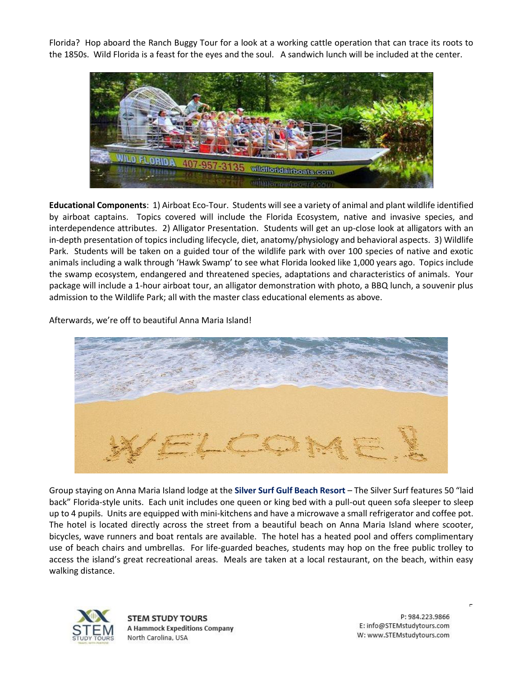Florida? Hop aboard the Ranch Buggy Tour for a look at a working cattle operation that can trace its roots to the 1850s. Wild Florida is a feast for the eyes and the soul. A sandwich lunch will be included at the center.



**Educational Components**: 1) Airboat Eco-Tour. Students will see a variety of animal and plant wildlife identified by airboat captains. Topics covered will include the Florida Ecosystem, native and invasive species, and interdependence attributes. 2) Alligator Presentation. Students will get an up-close look at alligators with an in-depth presentation of topics including lifecycle, diet, anatomy/physiology and behavioral aspects. 3) Wildlife Park. Students will be taken on a guided tour of the wildlife park with over 100 species of native and exotic animals including a walk through 'Hawk Swamp' to see what Florida looked like 1,000 years ago. Topics include the swamp ecosystem, endangered and threatened species, adaptations and characteristics of animals. Your package will include a 1-hour airboat tour, an alligator demonstration with photo, a BBQ lunch, a souvenir plus admission to the Wildlife Park; all with the master class educational elements as above.

Afterwards, we're off to beautiful Anna Maria Island!



Group staying on Anna Maria Island lodge at the **Silver Surf Gulf Beach Resort** – The Silver Surf features 50 "laid back" Florida-style units. Each unit includes one queen or king bed with a pull-out queen sofa sleeper to sleep up to 4 pupils. Units are equipped with mini-kitchens and have a microwave a small refrigerator and coffee pot. The hotel is located directly across the street from a beautiful beach on Anna Maria Island where scooter, bicycles, wave runners and boat rentals are available. The hotel has a heated pool and offers complimentary use of beach chairs and umbrellas. For life-guarded beaches, students may hop on the free public trolley to access the island's great recreational areas. Meals are taken at a local restaurant, on the beach, within easy walking distance.



**STEM STUDY TOURS A Hammock Expeditions Company** North Carolina, USA

P: 984.223.9866 E: info@STEMstudytours.com W: www.STEMstudytours.com 5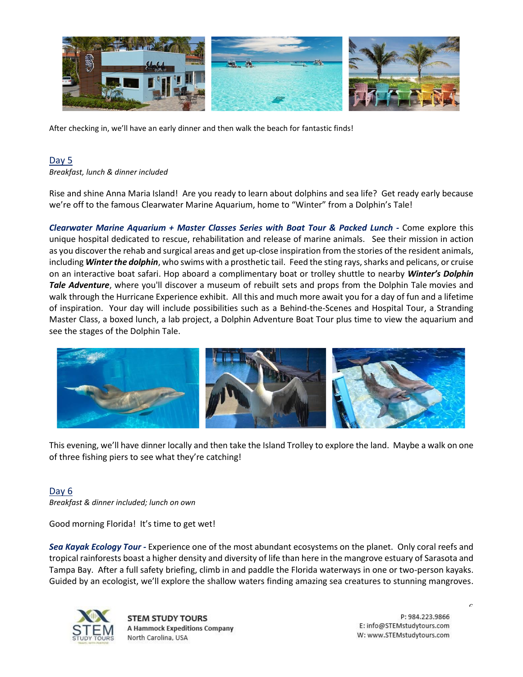

After checking in, we'll have an early dinner and then walk the beach for fantastic finds!

#### Day 5

*Breakfast, lunch & dinner included*

Rise and shine Anna Maria Island! Are you ready to learn about dolphins and sea life? Get ready early because we're off to the famous Clearwater Marine Aquarium, home to "Winter" from a Dolphin's Tale!

*Clearwater Marine Aquarium + Master Classes Series with Boat Tour & Packed Lunch -* Come explore this unique hospital dedicated to rescue, rehabilitation and release of marine animals. See their mission in action as you discover the rehab and surgical areas and get up-close inspiration from the stories of the resident animals, including *Winter the dolphin*, who swims with a prosthetic tail. Feed the sting rays, sharks and pelicans, or cruise on an interactive boat safari. Hop aboard a complimentary boat or trolley shuttle to nearby *Winter's Dolphin Tale Adventure*, where you'll discover a museum of rebuilt sets and props from the Dolphin Tale movies and walk through the Hurricane Experience exhibit. All this and much more await you for a day of fun and a lifetime of inspiration. Your day will include possibilities such as a Behind-the-Scenes and Hospital Tour, a Stranding Master Class, a boxed lunch, a lab project, a Dolphin Adventure Boat Tour plus time to view the aquarium and see the stages of the Dolphin Tale.



This evening, we'll have dinner locally and then take the Island Trolley to explore the land. Maybe a walk on one of three fishing piers to see what they're catching!

#### Day 6

*Breakfast & dinner included; lunch on own*

Good morning Florida! It's time to get wet!

*Sea Kayak Ecology Tour -* Experience one of the most abundant ecosystems on the planet. Only coral reefs and tropical rainforests boast a higher density and diversity of life than here in the mangrove estuary of Sarasota and Tampa Bay. After a full safety briefing, climb in and paddle the Florida waterways in one or two-person kayaks. Guided by an ecologist, we'll explore the shallow waters finding amazing sea creatures to stunning mangroves.



**STEM STUDY TOURS A Hammock Expeditions Company** North Carolina, USA

P: 984.223.9866 E: info@STEMstudytours.com W: www.STEMstudytours.com  $\overline{\phantom{0}}$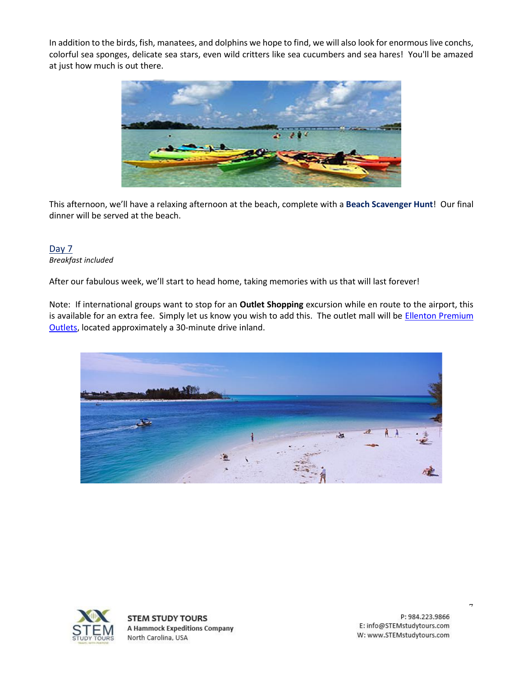In addition to the birds, fish, manatees, and dolphins we hope to find, we will also look for enormous live conchs, colorful sea sponges, delicate sea stars, even wild critters like sea cucumbers and sea hares! You'll be amazed at just how much is out there.



This afternoon, we'll have a relaxing afternoon at the beach, complete with a **Beach Scavenger Hunt**! Our final dinner will be served at the beach.

### Day 7 *Breakfast included*

After our fabulous week, we'll start to head home, taking memories with us that will last forever!

Note: If international groups want to stop for an **Outlet Shopping** excursion while en route to the airport, this is available for an extra fee. Simply let us know you wish to add this. The outlet mall will be **Ellenton Premium** [Outlets,](https://www.premiumoutlets.com/outlet/ellenton) located approximately a 30-minute drive inland.





**STEM STUDY TOURS A Hammock Expeditions Company** North Carolina, USA

P: 984.223.9866 E: info@STEMstudytours.com W: www.STEMstudytours.com  $\overline{a}$